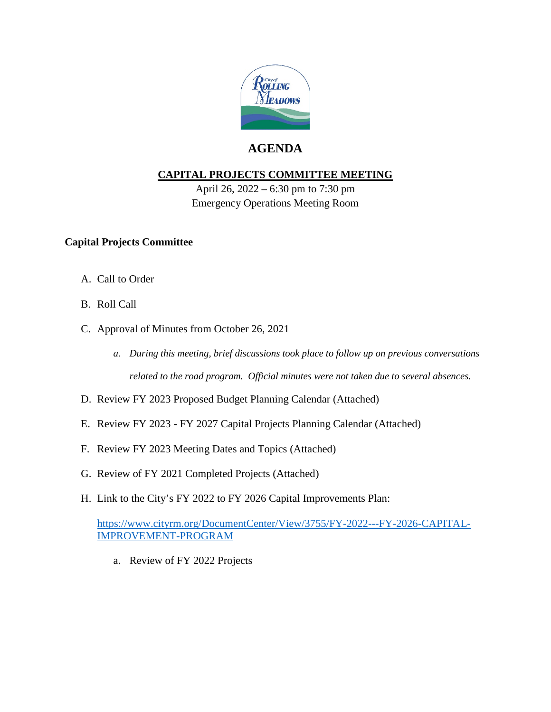

## **AGENDA**

### **CAPITAL PROJECTS COMMITTEE MEETING**

April 26, 2022 – 6:30 pm to 7:30 pm Emergency Operations Meeting Room

### **Capital Projects Committee**

- A. Call to Order
- B. Roll Call
- C. Approval of Minutes from October 26, 2021
	- *a. During this meeting, brief discussions took place to follow up on previous conversations related to the road program. Official minutes were not taken due to several absences.*
- D. Review FY 2023 Proposed Budget Planning Calendar (Attached)
- E. Review FY 2023 FY 2027 Capital Projects Planning Calendar (Attached)
- F. Review FY 2023 Meeting Dates and Topics (Attached)
- G. Review of FY 2021 Completed Projects (Attached)
- H. Link to the City's FY 2022 to FY 2026 Capital Improvements Plan:

[https://www.cityrm.org/DocumentCenter/View/3755/FY-2022---FY-2026-CAPITAL-](https://www.cityrm.org/DocumentCenter/View/3755/FY-2022---FY-2026-CAPITAL-IMPROVEMENT-PROGRAM)[IMPROVEMENT-PROGRAM](https://www.cityrm.org/DocumentCenter/View/3755/FY-2022---FY-2026-CAPITAL-IMPROVEMENT-PROGRAM)

a. Review of FY 2022 Projects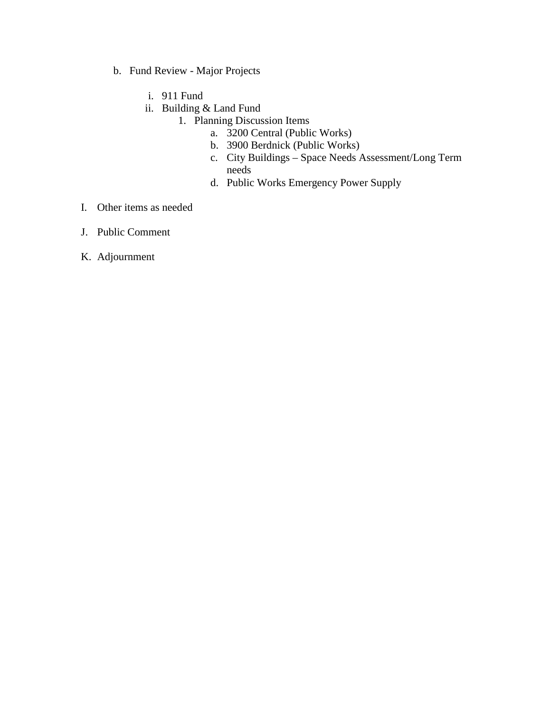- b. Fund Review Major Projects
	- i. 911 Fund
	- ii. Building & Land Fund
		- 1. Planning Discussion Items
			- a. 3200 Central (Public Works)
			- b. 3900 Berdnick (Public Works)
			- c. City Buildings Space Needs Assessment/Long Term needs
			- d. Public Works Emergency Power Supply
- I. Other items as needed
- J. Public Comment
- K. Adjournment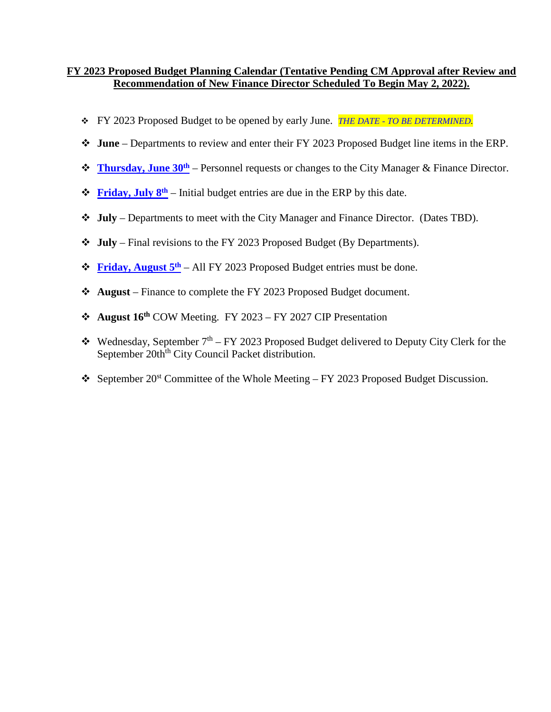#### **FY 2023 Proposed Budget Planning Calendar (Tentative Pending CM Approval after Review and Recommendation of New Finance Director Scheduled To Begin May 2, 2022).**

- FY 2023 Proposed Budget to be opened by early June. *THE DATE - TO BE DETERMINED.*
- **June**  Departments to review and enter their FY 2023 Proposed Budget line items in the ERP.
- **<u>Thursday</u>**, **June 30<sup>th</sup>** Personnel requests or changes to the City Manager & Finance Director.
- $\mathbf{\hat{F}}$  **Friday, July 8<sup>th</sup>** Initial budget entries are due in the ERP by this date.
- **July** Departments to meet with the City Manager and Finance Director. (Dates TBD).
- **July** Final revisions to the FY 2023 Proposed Budget (By Departments).
- *<b>Eriday, August 5<sup>th</sup>* All FY 2023 Proposed Budget entries must be done.
- **August** Finance to complete the FY 2023 Proposed Budget document.
- **August 16th** COW Meeting. FY 2023 FY 2027 CIP Presentation
- Wednesday, September  $7<sup>th</sup> FY$  2023 Proposed Budget delivered to Deputy City Clerk for the September 20th<sup>th</sup> City Council Packet distribution.
- September  $20^{st}$  Committee of the Whole Meeting FY 2023 Proposed Budget Discussion.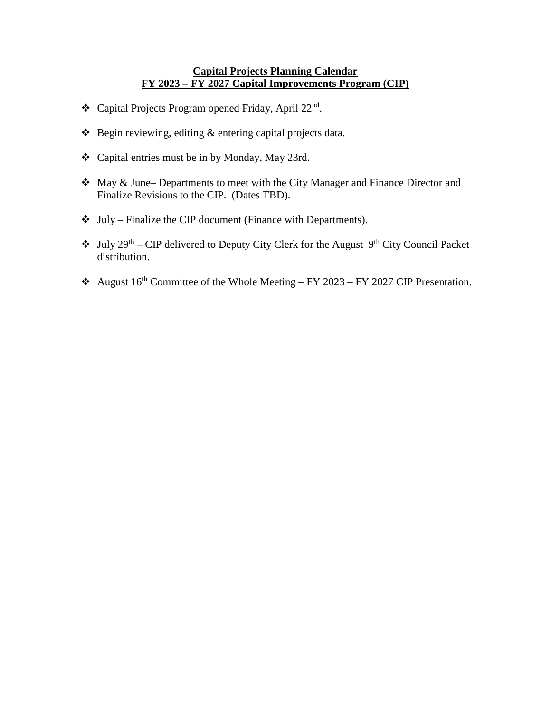#### **Capital Projects Planning Calendar FY 2023 – FY 2027 Capital Improvements Program (CIP)**

- \* Capital Projects Program opened Friday, April 22<sup>nd</sup>.
- $\triangle$  Begin reviewing, editing  $\&$  entering capital projects data.
- Capital entries must be in by Monday, May 23rd.
- May & June– Departments to meet with the City Manager and Finance Director and Finalize Revisions to the CIP. (Dates TBD).
- $\triangleleft$  July Finalize the CIP document (Finance with Departments).
- $\bullet$  July 29<sup>th</sup> CIP delivered to Deputy City Clerk for the August 9<sup>th</sup> City Council Packet distribution.
- August  $16^{th}$  Committee of the Whole Meeting FY 2023 FY 2027 CIP Presentation.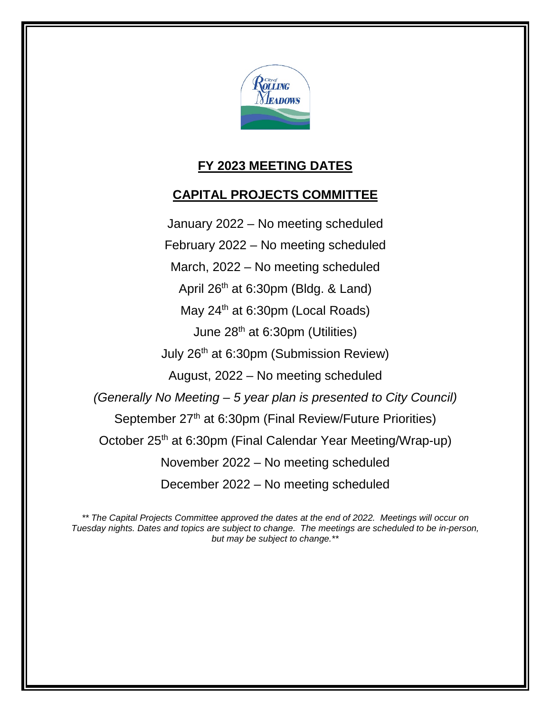

# **FY 2023 MEETING DATES**

## **CAPITAL PROJECTS COMMITTEE**

January 2022 – No meeting scheduled February 2022 – No meeting scheduled March, 2022 – No meeting scheduled April 26<sup>th</sup> at 6:30pm (Bldg. & Land) May 24<sup>th</sup> at 6:30pm (Local Roads) June 28th at 6:30pm (Utilities) July 26th at 6:30pm (Submission Review) August, 2022 – No meeting scheduled *(Generally No Meeting – 5 year plan is presented to City Council)* September 27<sup>th</sup> at 6:30pm (Final Review/Future Priorities) October 25<sup>th</sup> at 6:30pm (Final Calendar Year Meeting/Wrap-up) November 2022 – No meeting scheduled December 2022 – No meeting scheduled

*\*\* The Capital Projects Committee approved the dates at the end of 2022. Meetings will occur on Tuesday nights. Dates and topics are subject to change. The meetings are scheduled to be in-person, but may be subject to change.\*\**